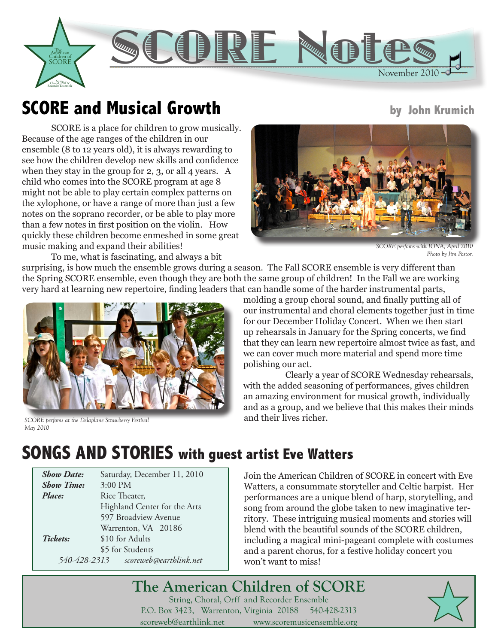

# **SCORE and Musical Growth** by John Krumich

SCORE is a place for children to grow musically. Because of the age ranges of the children in our ensemble (8 to 12 years old), it is always rewarding to see how the children develop new skills and confidence when they stay in the group for 2, 3, or all 4 years. A child who comes into the SCORE program at age 8 might not be able to play certain complex patterns on the xylophone, or have a range of more than just a few notes on the soprano recorder, or be able to play more than a few notes in first position on the violin. How quickly these children become enmeshed in some great music making and expand their abilities!

To me, what is fascinating, and always a bit

surprising, is how much the ensemble grows during a season. The Fall SCORE ensemble is very different than the Spring SCORE ensemble, even though they are both the same group of children! In the Fall we are working very hard at learning new repertoire, finding leaders that can handle some of the harder instrumental parts,



*SCORE perfoms at the Delaplane Strawberry Festival May 2010* 



*SCORE perfoms with IONA, April 2010 Photo by Jim Poston*

molding a group choral sound, and finally putting all of our instrumental and choral elements together just in time for our December Holiday Concert. When we then start up rehearsals in January for the Spring concerts, we find that they can learn new repertoire almost twice as fast, and we can cover much more material and spend more time polishing our act.

Clearly a year of SCORE Wednesday rehearsals, with the added seasoning of performances, gives children an amazing environment for musical growth, individually and as a group, and we believe that this makes their minds and their lives richer.

# **SONGS AND STORIES with guest artist Eve Watters**

| <b>Show Date:</b> | Saturday, December 11, 2010  |
|-------------------|------------------------------|
| <b>Show Time:</b> | 3:00 PM                      |
| Place:            | Rice Theater,                |
|                   | Highland Center for the Arts |
|                   | 597 Broadview Avenue         |
|                   | Warrenton, VA 20186          |
| Tickets:          | \$10 for Adults              |
|                   | \$5 for Students             |
| 540-428-2313      | scoreweb@earthlink.net       |

Join the American Children of SCORE in concert with Eve Watters, a consummate storyteller and Celtic harpist. Her performances are a unique blend of harp, storytelling, and song from around the globe taken to new imaginative territory. These intriguing musical moments and stories will blend with the beautiful sounds of the SCORE children, including a magical mini-pageant complete with costumes and a parent chorus, for a festive holiday concert you won't want to miss!

**The American Children of SCORE** String, Choral, Orff and Recorder Ensemble P.O. Box 3423, Warrenton, Virginia 20188 540-428-2313 scoreweb@earthlink.net www.scoremusicensemble.org